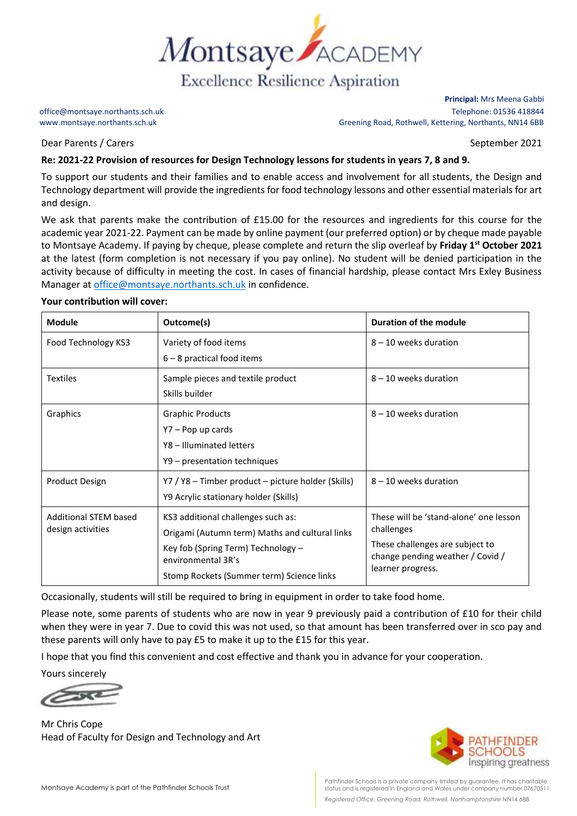

Dear Parents / Carers September 2021

**Principal:** Mrs Meena Gabbi office@montsaye.northants.sch.uk Telephone: 01536 418844 www.montsaye.northants.sch.uk Greening Road, Rothwell, Kettering, Northants, NN14 6BB

## **Re: 2021-22 Provision of resources for Design Technology lessons for students in years 7, 8 and 9.**

To support our students and their families and to enable access and involvement for all students, the Design and Technology department will provide the ingredients for food technology lessons and other essential materials for art and design.

We ask that parents make the contribution of £15.00 for the resources and ingredients for this course for the academic year 2021-22. Payment can be made by online payment (our preferred option) or by cheque made payable to Montsaye Academy. If paying by cheque, please complete and return the slip overleaf by **Friday 1 st October 2021**  at the latest (form completion is not necessary if you pay online). No student will be denied participation in the activity because of difficulty in meeting the cost. In cases of financial hardship, please contact Mrs Exley Business Manager a[t office@montsaye.northants.sch.uk](mailto:office@montsaye.northants.sch.uk) in confidence.

## **Your contribution will cover:**

| <b>Module</b>                                     | Outcome(s)                                               | <b>Duration of the module</b>                                                                          |
|---------------------------------------------------|----------------------------------------------------------|--------------------------------------------------------------------------------------------------------|
| Food Technology KS3                               | Variety of food items                                    | $8 - 10$ weeks duration                                                                                |
|                                                   | $6 - 8$ practical food items                             |                                                                                                        |
| <b>Textiles</b>                                   | Sample pieces and textile product                        | $8 - 10$ weeks duration                                                                                |
|                                                   | Skills builder                                           |                                                                                                        |
| Graphics                                          | <b>Graphic Products</b>                                  | $8 - 10$ weeks duration                                                                                |
|                                                   | Y7 – Pop up cards                                        |                                                                                                        |
|                                                   | Y8 - Illuminated letters                                 |                                                                                                        |
|                                                   | Y9 - presentation techniques                             |                                                                                                        |
| <b>Product Design</b>                             | Y7 / Y8 - Timber product - picture holder (Skills)       | $8 - 10$ weeks duration                                                                                |
|                                                   | Y9 Acrylic stationary holder (Skills)                    |                                                                                                        |
| <b>Additional STEM based</b><br>design activities | KS3 additional challenges such as:                       | These will be 'stand-alone' one lesson                                                                 |
|                                                   | Origami (Autumn term) Maths and cultural links           | challenges<br>These challenges are subject to<br>change pending weather / Covid /<br>learner progress. |
|                                                   | Key fob (Spring Term) Technology -<br>environmental 3R's |                                                                                                        |
|                                                   | Stomp Rockets (Summer term) Science links                |                                                                                                        |

Occasionally, students will still be required to bring in equipment in order to take food home.

Please note, some parents of students who are now in year 9 previously paid a contribution of £10 for their child when they were in year 7. Due to covid this was not used, so that amount has been transferred over in sco pay and these parents will only have to pay £5 to make it up to the £15 for this year.

I hope that you find this convenient and cost effective and thank you in advance for your cooperation.

Yours sincerely

Mr Chris Cope Head of Faculty for Design and Technology and Art



Pathfinder Schools is a private company limited by guarantee. It has charitable status and is registered in England and Wales under company number 07670511. *Registered Office: Greening Road, Rothwell, Northamptonshire NN14 6BB*